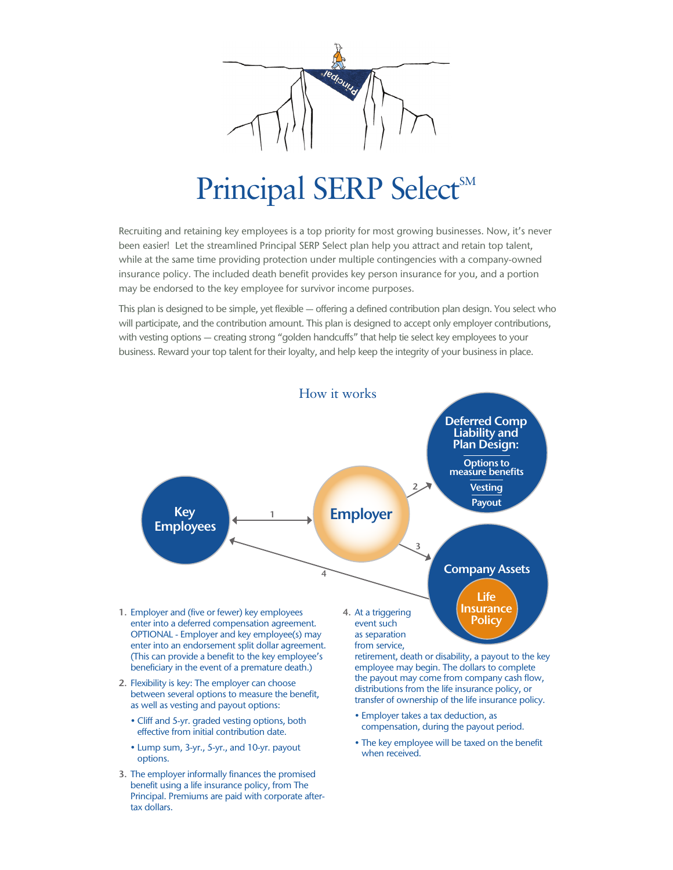

# Principal SERP Select<sup>SM</sup>

Recruiting and retaining key employees is a top priority for most growing businesses. Now, it's never been easier! Let the streamlined Principal SERP Select plan help you attract and retain top talent, while at the same time providing protection under multiple contingencies with a company-owned insurance policy. The included death benefit provides key person insurance for you, and a portion may be endorsed to the key employee for survivor income purposes.

This plan is designed to be simple, yet flexible — offering a defined contribution plan design. You select who will participate, and the contribution amount. This plan is designed to accept only employer contributions, with vesting options — creating strong "golden handcuffs" that help tie select key employees to your business. Reward your top talent for their loyalty, and help keep the integrity of your business in place.



**3.** The employer informally finances the promised benefit using a life insurance policy, from The Principal. Premiums are paid with corporate aftertax dollars.